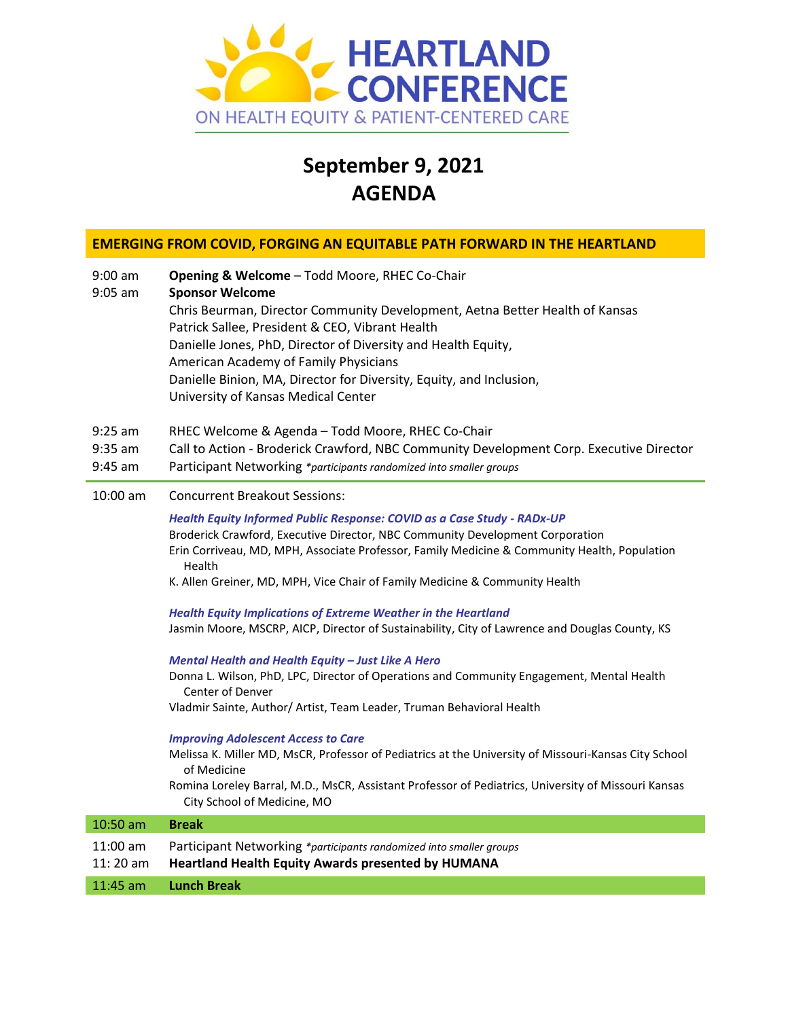

# **September 9, 2021 AGENDA**

# **EMERGING FROM COVID, FORGING AN EQUITABLE PATH FORWARD IN THE HEARTLAND**

| $9:00$ am<br>$9:05$ am              | Opening & Welcome - Todd Moore, RHEC Co-Chair<br><b>Sponsor Welcome</b><br>Chris Beurman, Director Community Development, Aetna Better Health of Kansas<br>Patrick Sallee, President & CEO, Vibrant Health<br>Danielle Jones, PhD, Director of Diversity and Health Equity,<br>American Academy of Family Physicians<br>Danielle Binion, MA, Director for Diversity, Equity, and Inclusion,<br>University of Kansas Medical Center |
|-------------------------------------|------------------------------------------------------------------------------------------------------------------------------------------------------------------------------------------------------------------------------------------------------------------------------------------------------------------------------------------------------------------------------------------------------------------------------------|
| $9:25$ am<br>$9:35$ am<br>$9:45$ am | RHEC Welcome & Agenda - Todd Moore, RHEC Co-Chair<br>Call to Action - Broderick Crawford, NBC Community Development Corp. Executive Director<br>Participant Networking *participants randomized into smaller groups                                                                                                                                                                                                                |
| 10:00 am                            | <b>Concurrent Breakout Sessions:</b>                                                                                                                                                                                                                                                                                                                                                                                               |
|                                     | Health Equity Informed Public Response: COVID as a Case Study - RADx-UP<br>Broderick Crawford, Executive Director, NBC Community Development Corporation<br>Erin Corriveau, MD, MPH, Associate Professor, Family Medicine & Community Health, Population<br>Health<br>K. Allen Greiner, MD, MPH, Vice Chair of Family Medicine & Community Health                                                                                  |
|                                     | <b>Health Equity Implications of Extreme Weather in the Heartland</b><br>Jasmin Moore, MSCRP, AICP, Director of Sustainability, City of Lawrence and Douglas County, KS                                                                                                                                                                                                                                                            |
|                                     | Mental Health and Health Equity - Just Like A Hero<br>Donna L. Wilson, PhD, LPC, Director of Operations and Community Engagement, Mental Health<br>Center of Denver<br>Vladmir Sainte, Author/ Artist, Team Leader, Truman Behavioral Health                                                                                                                                                                                       |
|                                     | <b>Improving Adolescent Access to Care</b><br>Melissa K. Miller MD, MsCR, Professor of Pediatrics at the University of Missouri-Kansas City School<br>of Medicine<br>Romina Loreley Barral, M.D., MsCR, Assistant Professor of Pediatrics, University of Missouri Kansas<br>City School of Medicine, MO                                                                                                                            |
| 10:50 am                            | <b>Break</b>                                                                                                                                                                                                                                                                                                                                                                                                                       |
| 11:00 am<br>11:20 am                | Participant Networking *participants randomized into smaller groups<br><b>Heartland Health Equity Awards presented by HUMANA</b>                                                                                                                                                                                                                                                                                                   |
| 11:45 am                            | <b>Lunch Break</b>                                                                                                                                                                                                                                                                                                                                                                                                                 |